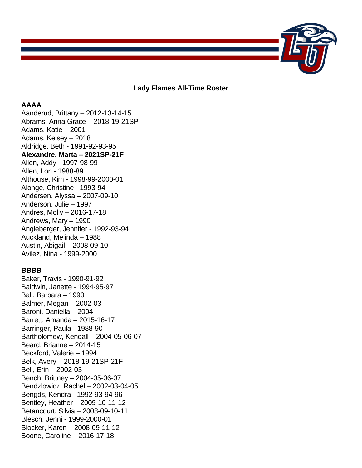

**Lady Flames All-Time Roster**

# **AAAA**

Aanderud, Brittany – 2012-13-14-15 Abrams, Anna Grace – 2018-19-21SP Adams, Katie – 2001 Adams, Kelsey – 2018 Aldridge, Beth - 1991-92-93-95 **Alexandre, Marta – 2021SP-21F** Allen, Addy - 1997-98-99 Allen, Lori - 1988-89 Althouse, Kim - 1998-99-2000-01 Alonge, Christine - 1993-94 Andersen, Alyssa – 2007-09-10 Anderson, Julie – 1997 Andres, Molly – 2016-17-18 Andrews, Mary – 1990 Angleberger, Jennifer - 1992-93-94 Auckland, Melinda – 1988 Austin, Abigail – 2008-09-10 Avilez, Nina - 1999-2000

## **BBBB**

Baker, Travis - 1990-91-92 Baldwin, Janette - 1994-95-97 Ball, Barbara – 1990 Balmer, Megan – 2002-03 Baroni, Daniella – 2004 Barrett, Amanda – 2015-16-17 Barringer, Paula - 1988-90 Bartholomew, Kendall – 2004-05-06-07 Beard, Brianne – 2014-15 Beckford, Valerie – 1994 Belk, Avery – 2018-19-21SP-21F Bell, Erin – 2002-03 Bench, Brittney – 2004-05-06-07 Bendzlowicz, Rachel – 2002-03-04-05 Bengds, Kendra - 1992-93-94-96 Bentley, Heather – 2009-10-11-12 Betancourt, Silvia – 2008-09-10-11 Blesch, Jenni - 1999-2000-01 Blocker, Karen – 2008-09-11-12 Boone, Caroline – 2016-17-18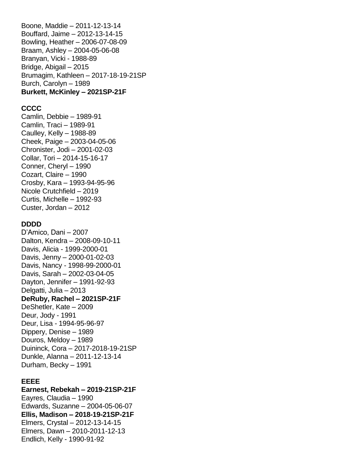Boone, Maddie – 2011-12-13-14 Bouffard, Jaime – 2012-13-14-15 Bowling, Heather – 2006-07-08-09 Braam, Ashley – 2004-05-06-08 Branyan, Vicki - 1988-89 Bridge, Abigail – 2015 Brumagim, Kathleen – 2017-18-19-21SP Burch, Carolyn – 1989 **Burkett, McKinley – 2021SP-21F**

### **CCCC**

Camlin, Debbie – 1989-91 Camlin, Traci – 1989-91 Caulley, Kelly – 1988-89 Cheek, Paige – 2003-04-05-06 Chronister, Jodi – 2001-02-03 Collar, Tori – 2014-15-16-17 Conner, Cheryl – 1990 Cozart, Claire – 1990 Crosby, Kara – 1993-94-95-96 Nicole Crutchfield – 2019 Curtis, Michelle – 1992-93 Custer, Jordan – 2012

#### **DDDD**

D'Amico, Dani – 2007 Dalton, Kendra – 2008-09-10-11 Davis, Alicia - 1999-2000-01 Davis, Jenny – 2000-01-02-03 Davis, Nancy - 1998-99-2000-01 Davis, Sarah – 2002-03-04-05 Dayton, Jennifer – 1991-92-93 Delgatti, Julia – 2013 **DeRuby, Rachel – 2021SP-21F** DeShetler, Kate – 2009 Deur, Jody - 1991 Deur, Lisa - 1994-95-96-97 Dippery, Denise – 1989 Douros, Meldoy – 1989 Duininck, Cora – 2017-2018-19-21SP Dunkle, Alanna – 2011-12-13-14 Durham, Becky – 1991

### **EEEE**

**Earnest, Rebekah – 2019-21SP-21F** Eayres, Claudia – 1990 Edwards, Suzanne – 2004-05-06-07 **Ellis, Madison – 2018-19-21SP-21F** Elmers, Crystal – 2012-13-14-15 Elmers, Dawn – 2010-2011-12-13 Endlich, Kelly - 1990-91-92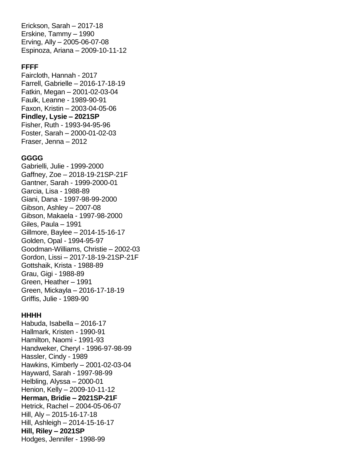Erickson, Sarah – 2017-18 Erskine, Tammy – 1990 Erving, Ally – 2005-06-07-08 Espinoza, Ariana – 2009-10-11-12

#### **FFFF**

Faircloth, Hannah - 2017 Farrell, Gabrielle – 2016-17-18-19 Fatkin, Megan – 2001-02-03-04 Faulk, Leanne - 1989-90-91 Faxon, Kristin – 2003-04-05-06 **Findley, Lysie – 2021SP** Fisher, Ruth - 1993-94-95-96 Foster, Sarah – 2000-01-02-03 Fraser, Jenna – 2012

#### **GGGG**

Gabrielli, Julie - 1999-2000 Gaffney, Zoe – 2018-19-21SP-21F Gantner, Sarah - 1999-2000-01 Garcia, Lisa - 1988-89 Giani, Dana - 1997-98-99-2000 Gibson, Ashley – 2007-08 Gibson, Makaela - 1997-98-2000 Giles, Paula – 1991 Gillmore, Baylee – 2014-15-16-17 Golden, Opal - 1994-95-97 Goodman-Williams, Christie – 2002-03 Gordon, Lissi – 2017-18-19-21SP-21F Gottshaik, Krista - 1988-89 Grau, Gigi - 1988-89 Green, Heather – 1991 Green, Mickayla – 2016-17-18-19 Griffis, Julie - 1989-90

#### **HHHH**

Habuda, Isabella – 2016-17 Hallmark, Kristen - 1990-91 Hamilton, Naomi - 1991-93 Handweker, Cheryl - 1996-97-98-99 Hassler, Cindy - 1989 Hawkins, Kimberly – 2001-02-03-04 Hayward, Sarah - 1997-98-99 Helbling, Alyssa – 2000-01 Henion, Kelly – 2009-10-11-12 **Herman, Bridie – 2021SP-21F** Hetrick, Rachel – 2004-05-06-07 Hill, Aly – 2015-16-17-18 Hill, Ashleigh – 2014-15-16-17 **Hill, Riley – 2021SP** Hodges, Jennifer - 1998-99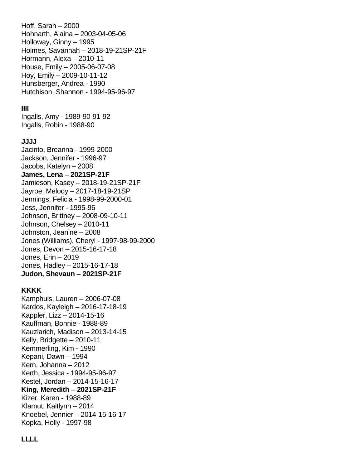Hoff, Sarah – 2000 Hohnarth, Alaina – 2003-04-05-06 Holloway, Ginny – 1995 Holmes, Savannah – 2018-19-21SP-21F Hormann, Alexa – 2010-11 House, Emily – 2005-06-07-08 Hoy, Emily – 2009-10-11-12 Hunsberger, Andrea - 1990 Hutchison, Shannon - 1994-95-96-97

### **IIII**

Ingalls, Amy - 1989-90-91-92 Ingalls, Robin - 1988-90

### **JJJJ**

Jacinto, Breanna - 1999-2000 Jackson, Jennifer - 1996-97 Jacobs, Katelyn – 2008 **James, Lena – 2021SP-21F** Jamieson, Kasey – 2018-19-21SP-21F Jayroe, Melody – 2017-18-19-21SP Jennings, Felicia - 1998-99-2000-01 Jess, Jennifer - 1995-96 Johnson, Brittney – 2008-09-10-11 Johnson, Chelsey – 2010-11 Johnston, Jeanine – 2008 Jones (Williams), Cheryl - 1997-98-99-2000 Jones, Devon – 2015-16-17-18 Jones, Erin – 2019 Jones, Hadley – 2015-16-17-18 **Judon, Shevaun – 2021SP-21F**

## **KKKK**

Kamphuis, Lauren – 2006-07-08 Kardos, Kayleigh – 2016-17-18-19 Kappler, Lizz – 2014-15-16 Kauffman, Bonnie - 1988-89 Kauzlarich, Madison – 2013-14-15 Kelly, Bridgette – 2010-11 Kemmerling, Kim - 1990 Kepani, Dawn – 1994 Kern, Johanna – 2012 Kerth, Jessica - 1994-95-96-97 Kestel, Jordan – 2014-15-16-17 **King, Meredith – 2021SP-21F** Kizer, Karen - 1988-89 Klamut, Kaitlynn – 2014 Knoebel, Jennier – 2014-15-16-17 Kopka, Holly - 1997-98

## **LLLL**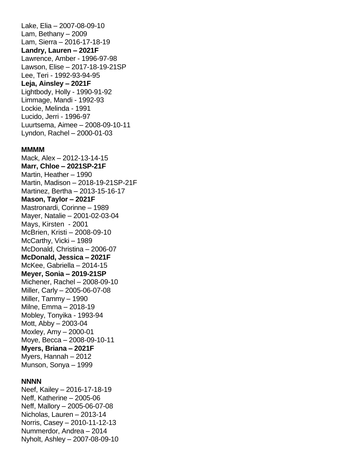Lake, Elia – 2007-08-09-10 Lam, Bethany – 2009 Lam, Sierra – 2016-17-18-19 **Landry, Lauren – 2021F** Lawrence, Amber - 1996-97-98 Lawson, Elise – 2017-18-19-21SP Lee, Teri - 1992-93-94-95 **Leja, Ainsley – 2021F** Lightbody, Holly - 1990-91-92 Limmage, Mandi - 1992-93 Lockie, Melinda - 1991 Lucido, Jerri - 1996-97 Luurtsema, Aimee – 2008-09-10-11 Lyndon, Rachel – 2000-01-03

#### **MMMM**

Mack, Alex – 2012-13-14-15 **Marr, Chloe – 2021SP-21F** Martin, Heather – 1990 Martin, Madison – 2018-19-21SP-21F Martinez, Bertha – 2013-15-16-17 **Mason, Taylor – 2021F** Mastronardi, Corinne – 1989 Mayer, Natalie – 2001-02-03-04 Mays, Kirsten - 2001 McBrien, Kristi – 2008-09-10 McCarthy, Vicki – 1989 McDonald, Christina – 2006-07 **McDonald, Jessica – 2021F** McKee, Gabriella – 2014-15 **Meyer, Sonia – 2019-21SP**  Michener, Rachel – 2008-09-10 Miller, Carly – 2005-06-07-08 Miller, Tammy – 1990 Milne, Emma – 2018-19 Mobley, Tonyika - 1993-94 Mott, Abby – 2003-04 Moxley, Amy – 2000-01 Moye, Becca – 2008-09-10-11 **Myers, Briana – 2021F** Myers, Hannah – 2012 Munson, Sonya – 1999

### **NNNN**

Neef, Kailey – 2016-17-18-19 Neff, Katherine – 2005-06 Neff, Mallory – 2005-06-07-08 Nicholas, Lauren – 2013-14 Norris, Casey – 2010-11-12-13 Nummerdor, Andrea – 2014 Nyholt, Ashley – 2007-08-09-10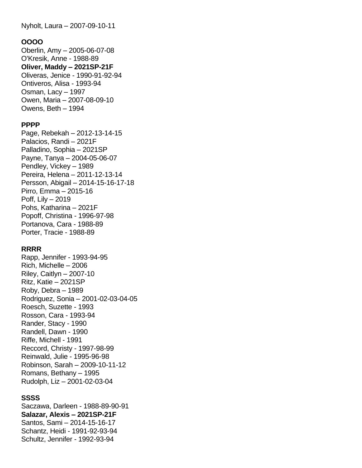Nyholt, Laura – 2007-09-10-11

### **OOOO**

Oberlin, Amy – 2005-06-07-08 O'Kresik, Anne - 1988-89 **Oliver, Maddy – 2021SP-21F** Oliveras, Jenice - 1990-91-92-94 Ontiveros, Alisa - 1993-94 Osman, Lacy – 1997 Owen, Maria – 2007-08-09-10 Owens, Beth – 1994

### **PPPP**

Page, Rebekah – 2012-13-14-15 Palacios, Randi – 2021F Palladino, Sophia – 2021SP Payne, Tanya – 2004-05-06-07 Pendley, Vickey – 1989 Pereira, Helena – 2011-12-13-14 Persson, Abigail – 2014-15-16-17-18 Pirro, Emma – 2015-16 Poff, Lily – 2019 Pohs, Katharina – 2021F Popoff, Christina - 1996-97-98 Portanova, Cara - 1988-89 Porter, Tracie - 1988-89

### **RRRR**

Rapp, Jennifer - 1993-94-95 Rich, Michelle – 2006 Riley, Caitlyn – 2007-10 Ritz, Katie – 2021SP Roby, Debra – 1989 Rodriguez, Sonia – 2001-02-03-04-05 Roesch, Suzette - 1993 Rosson, Cara - 1993-94 Rander, Stacy - 1990 Randell, Dawn - 1990 Riffe, Michell - 1991 Reccord, Christy - 1997-98-99 Reinwald, Julie - 1995-96-98 Robinson, Sarah – 2009-10-11-12 Romans, Bethany – 1995 Rudolph, Liz – 2001-02-03-04

# **SSSS**

Saczawa, Darleen - 1988-89-90-91 **Salazar, Alexis – 2021SP-21F** Santos, Sami – 2014-15-16-17 Schantz, Heidi - 1991-92-93-94 Schultz, Jennifer - 1992-93-94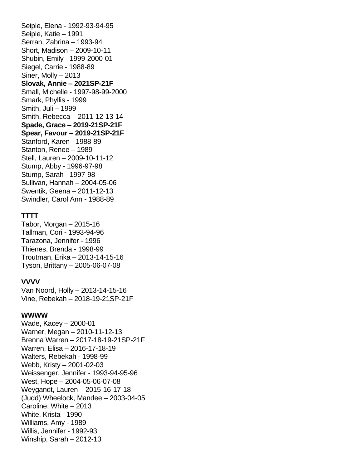Seiple, Elena - 1992-93-94-95 Seiple, Katie – 1991 Serran, Zabrina – 1993-94 Short, Madison – 2009-10-11 Shubin, Emily - 1999-2000-01 Siegel, Carrie - 1988-89 Siner, Molly – 2013 **Slovak, Annie – 2021SP-21F** Small, Michelle - 1997-98-99-2000 Smark, Phyllis - 1999 Smith, Juli – 1999 Smith, Rebecca – 2011-12-13-14 **Spade, Grace – 2019-21SP-21F Spear, Favour – 2019-21SP-21F** Stanford, Karen - 1988-89 Stanton, Renee – 1989 Stell, Lauren – 2009-10-11-12 Stump, Abby - 1996-97-98 Stump, Sarah - 1997-98 Sullivan, Hannah – 2004-05-06 Swentik, Geena – 2011-12-13 Swindler, Carol Ann - 1988-89

#### **TTTT**

Tabor, Morgan – 2015-16 Tallman, Cori - 1993-94-96 Tarazona, Jennifer - 1996 Thienes, Brenda - 1998-99 Troutman, Erika – 2013-14-15-16 Tyson, Brittany – 2005-06-07-08

#### **VVVV**

Van Noord, Holly – 2013-14-15-16 Vine, Rebekah – 2018-19-21SP-21F

#### **WWWW**

Wade, Kacey – 2000-01 Warner, Megan – 2010-11-12-13 Brenna Warren – 2017-18-19-21SP-21F Warren, Elisa – 2016-17-18-19 Walters, Rebekah - 1998-99 Webb, Kristy – 2001-02-03 Weissenger, Jennifer - 1993-94-95-96 West, Hope – 2004-05-06-07-08 Weygandt, Lauren – 2015-16-17-18 (Judd) Wheelock, Mandee – 2003-04-05 Caroline, White – 2013 White, Krista - 1990 Williams, Amy - 1989 Willis, Jennifer - 1992-93 Winship, Sarah – 2012-13